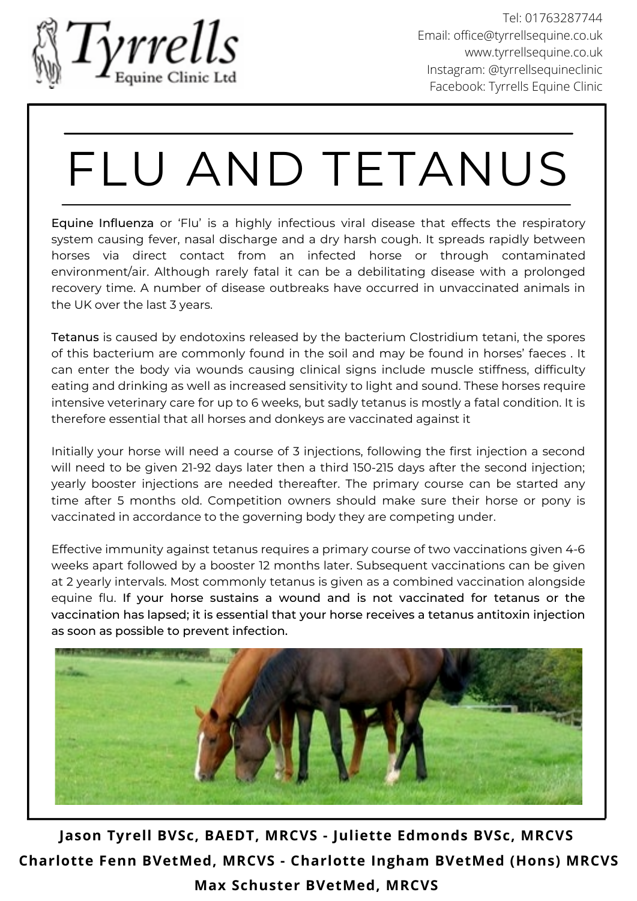

## FLU AND TETANUS

Equine Influenza or 'Flu' is a highly infectious viral disease that effects the respiratory system causing fever, nasal discharge and a dry harsh cough. It spreads rapidly between horses via direct contact from an infected horse or through contaminated environment/air. Although rarely fatal it can be a debilitating disease with a prolonged recovery time. A number of disease outbreaks have occurred in unvaccinated animals in the UK over the last 3 years.

Tetanus is caused by endotoxins released by the bacterium Clostridium tetani, the spores of this bacterium are commonly found in the soil and may be found in horses' faeces . It can enter the body via wounds causing clinical signs include muscle stiffness, difficulty eating and drinking as well as increased sensitivity to light and sound. These horses require intensive veterinary care for up to 6 weeks, but sadly tetanus is mostly a fatal condition. It is therefore essential that all horses and donkeys are vaccinated against it

Initially your horse will need a course of 3 injections, following the first injection a second will need to be given 21-92 days later then a third 150-215 days after the second injection; yearly booster injections are needed thereafter. The primary course can be started any time after 5 months old. Competition owners should make sure their horse or pony is vaccinated in accordance to the governing body they are competing under.

Effective immunity against tetanus requires a primary course of two vaccinations given 4-6 weeks apart followed by a booster 12 months later. Subsequent vaccinations can be given at 2 yearly intervals. Most commonly tetanus is given as a combined vaccination alongside equine flu. If your horse sustains a wound and is not vaccinated for tetanus or the vaccination has lapsed; it is essential that your horse receives a tetanus antitoxin injection as soon as possible to prevent infection.



**Jason Tyrell BVSc, BAEDT, MRCVS - Juliette Edmonds BVSc, MRCVS Charlotte Fenn BVetMed, MRCVS - Charlotte Ingham BVetMed (Hons) MRCVS Max Schuster BVetMed, MRCVS**